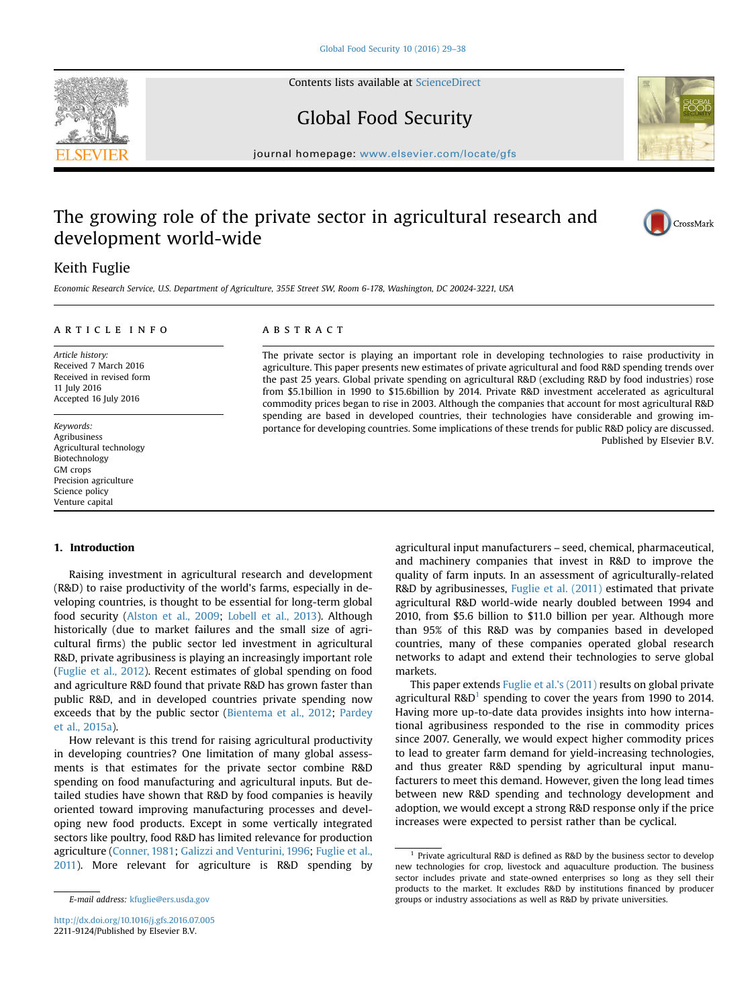Contents lists available at [ScienceDirect](www.sciencedirect.com/science/journal/22119124)





# Global Food Security

journal homepage: <www.elsevier.com/locate/gfs>

# The growing role of the private sector in agricultural research and development world-wide



# Keith Fuglie

Economic Research Service, U.S. Department of Agriculture, 355E Street SW, Room 6-178, Washington, DC 20024-3221, USA

## article info

Article history: Received 7 March 2016 Received in revised form 11 July 2016 Accepted 16 July 2016

Keywords: Agribusiness Agricultural technology Biotechnology GM crops Precision agriculture Science policy Venture capital

# 1. Introduction

Raising investment in agricultural research and development (R&D) to raise productivity of the world's farms, especially in developing countries, is thought to be essential for long-term global food security [\(Alston et al., 2009;](#page-8-0) [Lobell et al., 2013\)](#page-9-0). Although historically (due to market failures and the small size of agricultural firms) the public sector led investment in agricultural R&D, private agribusiness is playing an increasingly important role ([Fuglie et al., 2012\)](#page-9-0). Recent estimates of global spending on food and agriculture R&D found that private R&D has grown faster than public R&D, and in developed countries private spending now exceeds that by the public sector [\(Bientema et al., 2012](#page-8-0); [Pardey](#page-9-0) [et al., 2015a](#page-9-0)).

How relevant is this trend for raising agricultural productivity in developing countries? One limitation of many global assessments is that estimates for the private sector combine R&D spending on food manufacturing and agricultural inputs. But detailed studies have shown that R&D by food companies is heavily oriented toward improving manufacturing processes and developing new food products. Except in some vertically integrated sectors like poultry, food R&D has limited relevance for production agriculture ([Conner, 1981;](#page-9-0) [Galizzi and Venturini, 1996](#page-9-0); [Fuglie et al.,](#page-9-0) [2011](#page-9-0)). More relevant for agriculture is R&D spending by

# ABSTRACT

The private sector is playing an important role in developing technologies to raise productivity in agriculture. This paper presents new estimates of private agricultural and food R&D spending trends over the past 25 years. Global private spending on agricultural R&D (excluding R&D by food industries) rose from \$5.1billion in 1990 to \$15.6billion by 2014. Private R&D investment accelerated as agricultural commodity prices began to rise in 2003. Although the companies that account for most agricultural R&D spending are based in developed countries, their technologies have considerable and growing importance for developing countries. Some implications of these trends for public R&D policy are discussed. Published by Elsevier B.V.

> agricultural input manufacturers – seed, chemical, pharmaceutical, and machinery companies that invest in R&D to improve the quality of farm inputs. In an assessment of agriculturally-related R&D by agribusinesses, [Fuglie et al. \(2011\)](#page-9-0) estimated that private agricultural R&D world-wide nearly doubled between 1994 and 2010, from \$5.6 billion to \$11.0 billion per year. Although more than 95% of this R&D was by companies based in developed countries, many of these companies operated global research networks to adapt and extend their technologies to serve global markets.

> This paper extends [Fuglie et al.'s \(2011\)](#page-9-0) results on global private agricultural  $R&D<sup>1</sup>$  spending to cover the years from 1990 to 2014. Having more up-to-date data provides insights into how international agribusiness responded to the rise in commodity prices since 2007. Generally, we would expect higher commodity prices to lead to greater farm demand for yield-increasing technologies, and thus greater R&D spending by agricultural input manufacturers to meet this demand. However, given the long lead times between new R&D spending and technology development and adoption, we would except a strong R&D response only if the price increases were expected to persist rather than be cyclical.

E-mail address: [kfuglie@ers.usda.gov](mailto:kfuglie@ers.usda.gov)

<http://dx.doi.org/10.1016/j.gfs.2016.07.005> 2211-9124/Published by Elsevier B.V.

<sup>1</sup> Private agricultural R&D is defined as R&D by the business sector to develop new technologies for crop, livestock and aquaculture production. The business sector includes private and state-owned enterprises so long as they sell their products to the market. It excludes R&D by institutions financed by producer groups or industry associations as well as R&D by private universities.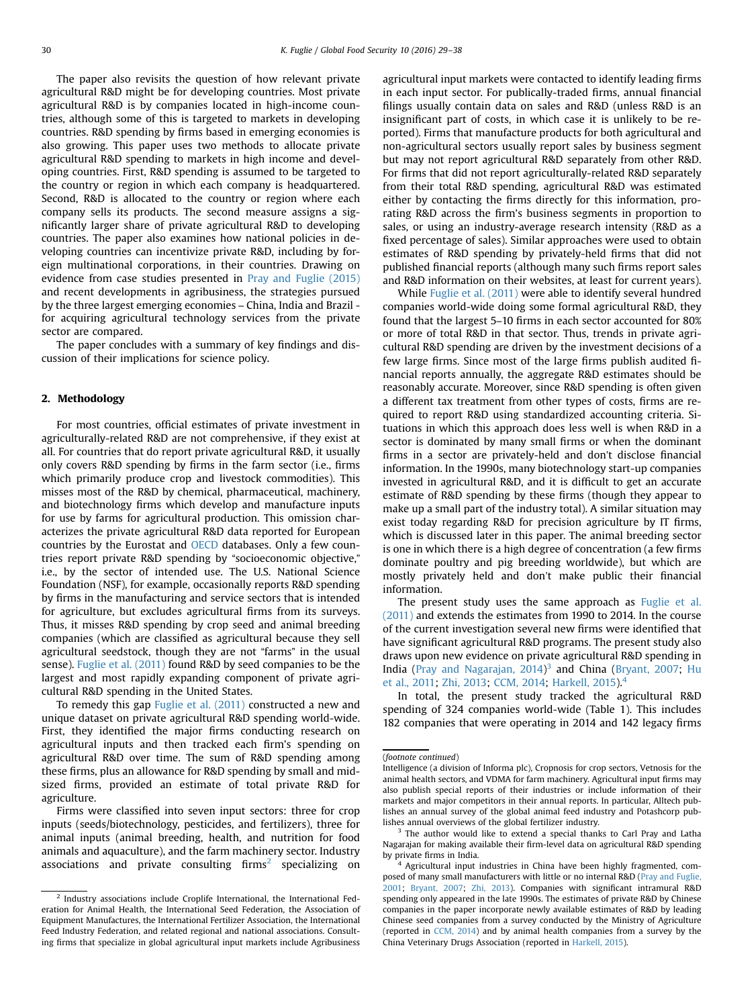The paper also revisits the question of how relevant private agricultural R&D might be for developing countries. Most private agricultural R&D is by companies located in high-income countries, although some of this is targeted to markets in developing countries. R&D spending by firms based in emerging economies is also growing. This paper uses two methods to allocate private agricultural R&D spending to markets in high income and developing countries. First, R&D spending is assumed to be targeted to the country or region in which each company is headquartered. Second, R&D is allocated to the country or region where each company sells its products. The second measure assigns a significantly larger share of private agricultural R&D to developing countries. The paper also examines how national policies in developing countries can incentivize private R&D, including by foreign multinational corporations, in their countries. Drawing on evidence from case studies presented in [Pray and Fuglie \(2015\)](#page-9-0) and recent developments in agribusiness, the strategies pursued by the three largest emerging economies – China, India and Brazil for acquiring agricultural technology services from the private sector are compared.

The paper concludes with a summary of key findings and discussion of their implications for science policy.

## 2. Methodology

For most countries, official estimates of private investment in agriculturally-related R&D are not comprehensive, if they exist at all. For countries that do report private agricultural R&D, it usually only covers R&D spending by firms in the farm sector (i.e., firms which primarily produce crop and livestock commodities). This misses most of the R&D by chemical, pharmaceutical, machinery, and biotechnology firms which develop and manufacture inputs for use by farms for agricultural production. This omission characterizes the private agricultural R&D data reported for European countries by the Eurostat and [OECD](#page-9-0) databases. Only a few countries report private R&D spending by "socioeconomic objective," i.e., by the sector of intended use. The U.S. National Science Foundation (NSF), for example, occasionally reports R&D spending by firms in the manufacturing and service sectors that is intended for agriculture, but excludes agricultural firms from its surveys. Thus, it misses R&D spending by crop seed and animal breeding companies (which are classified as agricultural because they sell agricultural seedstock, though they are not "farms" in the usual sense). [Fuglie et al. \(2011\)](#page-9-0) found R&D by seed companies to be the largest and most rapidly expanding component of private agricultural R&D spending in the United States.

To remedy this gap [Fuglie et al. \(2011\)](#page-9-0) constructed a new and unique dataset on private agricultural R&D spending world-wide. First, they identified the major firms conducting research on agricultural inputs and then tracked each firm's spending on agricultural R&D over time. The sum of R&D spending among these firms, plus an allowance for R&D spending by small and midsized firms, provided an estimate of total private R&D for agriculture.

Firms were classified into seven input sectors: three for crop inputs (seeds/biotechnology, pesticides, and fertilizers), three for animal inputs (animal breeding, health, and nutrition for food animals and aquaculture), and the farm machinery sector. Industry associations and private consulting  $\text{firms}^2$  specializing on agricultural input markets were contacted to identify leading firms in each input sector. For publically-traded firms, annual financial filings usually contain data on sales and R&D (unless R&D is an insignificant part of costs, in which case it is unlikely to be reported). Firms that manufacture products for both agricultural and non-agricultural sectors usually report sales by business segment but may not report agricultural R&D separately from other R&D. For firms that did not report agriculturally-related R&D separately from their total R&D spending, agricultural R&D was estimated either by contacting the firms directly for this information, prorating R&D across the firm's business segments in proportion to sales, or using an industry-average research intensity (R&D as a fixed percentage of sales). Similar approaches were used to obtain estimates of R&D spending by privately-held firms that did not published financial reports (although many such firms report sales and R&D information on their websites, at least for current years).

While [Fuglie et al. \(2011\)](#page-9-0) were able to identify several hundred companies world-wide doing some formal agricultural R&D, they found that the largest 5–10 firms in each sector accounted for 80% or more of total R&D in that sector. Thus, trends in private agricultural R&D spending are driven by the investment decisions of a few large firms. Since most of the large firms publish audited financial reports annually, the aggregate R&D estimates should be reasonably accurate. Moreover, since R&D spending is often given a different tax treatment from other types of costs, firms are required to report R&D using standardized accounting criteria. Situations in which this approach does less well is when R&D in a sector is dominated by many small firms or when the dominant firms in a sector are privately-held and don't disclose financial information. In the 1990s, many biotechnology start-up companies invested in agricultural R&D, and it is difficult to get an accurate estimate of R&D spending by these firms (though they appear to make up a small part of the industry total). A similar situation may exist today regarding R&D for precision agriculture by IT firms, which is discussed later in this paper. The animal breeding sector is one in which there is a high degree of concentration (a few firms dominate poultry and pig breeding worldwide), but which are mostly privately held and don't make public their financial information.

The present study uses the same approach as [Fuglie et al.](#page-9-0) [\(2011\)](#page-9-0) and extends the estimates from 1990 to 2014. In the course of the current investigation several new firms were identified that have significant agricultural R&D programs. The present study also draws upon new evidence on private agricultural R&D spending in India ([Pray and Nagarajan, 2014](#page-9-0)) <sup>3</sup> and China [\(Bryant, 2007;](#page-8-0) [Hu](#page-9-0) [et al., 2011;](#page-9-0) [Zhi, 2013;](#page-9-0) [CCM, 2014;](#page-8-0) [Harkell, 2015\)](#page-9-0).<sup>4</sup>

In total, the present study tracked the agricultural R&D spending of 324 companies world-wide (Table 1). This includes 182 companies that were operating in 2014 and 142 legacy firms

<sup>&</sup>lt;sup>2</sup> Industry associations include Croplife International, the International Federation for Animal Health, the International Seed Federation, the Association of Equipment Manufactures, the International Fertilizer Association, the International Feed Industry Federation, and related regional and national associations. Consulting firms that specialize in global agricultural input markets include Agribusiness

<sup>(</sup>footnote continued)

Intelligence (a division of Informa plc), Cropnosis for crop sectors, Vetnosis for the animal health sectors, and VDMA for farm machinery. Agricultural input firms may also publish special reports of their industries or include information of their markets and major competitors in their annual reports. In particular, Alltech publishes an annual survey of the global animal feed industry and Potashcorp publishes annual overviews of the global fertilizer industry.

 $3$  The author would like to extend a special thanks to Carl Pray and Latha Nagarajan for making available their firm-level data on agricultural R&D spending by private firms in India.

<sup>4</sup> Agricultural input industries in China have been highly fragmented, composed of many small manufacturers with little or no internal R&D ([Pray and Fuglie,](#page-9-0) [2001;](#page-9-0) [Bryant, 2007;](#page-8-0) [Zhi, 2013\)](#page-9-0). Companies with significant intramural R&D spending only appeared in the late 1990s. The estimates of private R&D by Chinese companies in the paper incorporate newly available estimates of R&D by leading Chinese seed companies from a survey conducted by the Ministry of Agriculture (reported in [CCM, 2014](#page-8-0)) and by animal health companies from a survey by the China Veterinary Drugs Association (reported in [Harkell, 2015](#page-9-0)).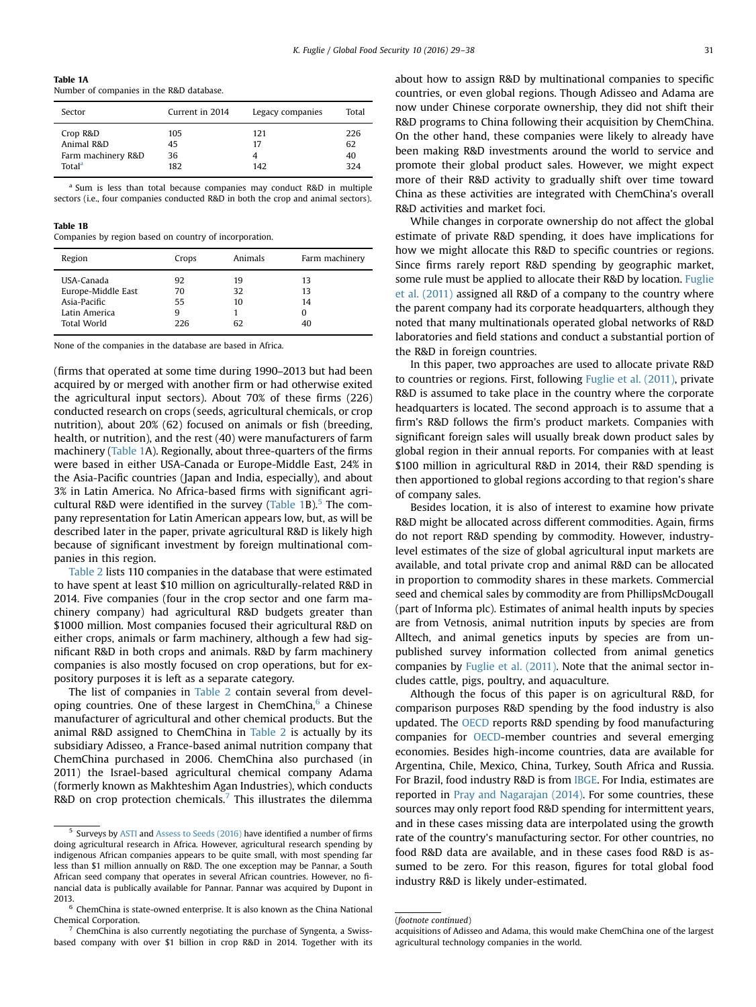| iadie ia |                                          |
|----------|------------------------------------------|
|          | Number of companies in the R&D database. |

| Sector                                                             | Current in 2014        | Legacy companies | Total                  |
|--------------------------------------------------------------------|------------------------|------------------|------------------------|
| Crop R&D<br>Animal R&D<br>Farm machinery R&D<br>Total <sup>a</sup> | 105<br>45<br>36<br>182 | 121<br>17<br>142 | 226<br>62<br>40<br>324 |

<sup>a</sup> Sum is less than total because companies may conduct R&D in multiple sectors (i.e., four companies conducted R&D in both the crop and animal sectors).

#### Table 1B

 $\overline{a}$  is  $\overline{a}$ 

Companies by region based on country of incorporation.

| Region             | Crops | Animals | Farm machinery |
|--------------------|-------|---------|----------------|
| USA-Canada         | 92    | 19      | 13             |
| Europe-Middle East | 70    | 32      | 13             |
| Asia-Pacific       | 55    | 10      | 14             |
| Latin America      | q     | 62      | 0              |
| <b>Total World</b> | 226   |         | 40             |

None of the companies in the database are based in Africa.

(firms that operated at some time during 1990–2013 but had been acquired by or merged with another firm or had otherwise exited the agricultural input sectors). About 70% of these firms (226) conducted research on crops (seeds, agricultural chemicals, or crop nutrition), about 20% (62) focused on animals or fish (breeding, health, or nutrition), and the rest (40) were manufacturers of farm machinery (Table 1A). Regionally, about three-quarters of the firms were based in either USA-Canada or Europe-Middle East, 24% in the Asia-Pacific countries (Japan and India, especially), and about 3% in Latin America. No Africa-based firms with significant agricultural R&D were identified in the survey  $(Table 1B)$ .<sup>5</sup> The company representation for Latin American appears low, but, as will be described later in the paper, private agricultural R&D is likely high because of significant investment by foreign multinational companies in this region.

[Table 2](#page-3-0) lists 110 companies in the database that were estimated to have spent at least \$10 million on agriculturally-related R&D in 2014. Five companies (four in the crop sector and one farm machinery company) had agricultural R&D budgets greater than \$1000 million. Most companies focused their agricultural R&D on either crops, animals or farm machinery, although a few had significant R&D in both crops and animals. R&D by farm machinery companies is also mostly focused on crop operations, but for expository purposes it is left as a separate category.

The list of companies in [Table 2](#page-3-0) contain several from developing countries. One of these largest in ChemChina, $6$  a Chinese manufacturer of agricultural and other chemical products. But the animal R&D assigned to ChemChina in [Table 2](#page-3-0) is actually by its subsidiary Adisseo, a France-based animal nutrition company that ChemChina purchased in 2006. ChemChina also purchased (in 2011) the Israel-based agricultural chemical company Adama (formerly known as Makhteshim Agan Industries), which conducts R&D on crop protection chemicals.<sup>7</sup> This illustrates the dilemma about how to assign R&D by multinational companies to specific countries, or even global regions. Though Adisseo and Adama are now under Chinese corporate ownership, they did not shift their R&D programs to China following their acquisition by ChemChina. On the other hand, these companies were likely to already have been making R&D investments around the world to service and promote their global product sales. However, we might expect more of their R&D activity to gradually shift over time toward China as these activities are integrated with ChemChina's overall R&D activities and market foci.

While changes in corporate ownership do not affect the global estimate of private R&D spending, it does have implications for how we might allocate this R&D to specific countries or regions. Since firms rarely report R&D spending by geographic market, some rule must be applied to allocate their R&D by location. [Fuglie](#page-9-0) [et al. \(2011\)](#page-9-0) assigned all R&D of a company to the country where the parent company had its corporate headquarters, although they noted that many multinationals operated global networks of R&D laboratories and field stations and conduct a substantial portion of the R&D in foreign countries.

In this paper, two approaches are used to allocate private R&D to countries or regions. First, following [Fuglie et al. \(2011\),](#page-9-0) private R&D is assumed to take place in the country where the corporate headquarters is located. The second approach is to assume that a firm's R&D follows the firm's product markets. Companies with significant foreign sales will usually break down product sales by global region in their annual reports. For companies with at least \$100 million in agricultural R&D in 2014, their R&D spending is then apportioned to global regions according to that region's share of company sales.

Besides location, it is also of interest to examine how private R&D might be allocated across different commodities. Again, firms do not report R&D spending by commodity. However, industrylevel estimates of the size of global agricultural input markets are available, and total private crop and animal R&D can be allocated in proportion to commodity shares in these markets. Commercial seed and chemical sales by commodity are from PhillipsMcDougall (part of Informa plc). Estimates of animal health inputs by species are from Vetnosis, animal nutrition inputs by species are from Alltech, and animal genetics inputs by species are from unpublished survey information collected from animal genetics companies by [Fuglie et al. \(2011\)](#page-9-0). Note that the animal sector includes cattle, pigs, poultry, and aquaculture.

Although the focus of this paper is on agricultural R&D, for comparison purposes R&D spending by the food industry is also updated. The [OECD](#page-9-0) reports R&D spending by food manufacturing companies for [OECD-](#page-9-0)member countries and several emerging economies. Besides high-income countries, data are available for Argentina, Chile, Mexico, China, Turkey, South Africa and Russia. For Brazil, food industry R&D is from [IBGE](#page-9-0). For India, estimates are reported in [Pray and Nagarajan \(2014\)](#page-9-0). For some countries, these sources may only report food R&D spending for intermittent years, and in these cases missing data are interpolated using the growth rate of the country's manufacturing sector. For other countries, no food R&D data are available, and in these cases food R&D is assumed to be zero. For this reason, figures for total global food industry R&D is likely under-estimated.

<sup>5</sup> Surveys by [ASTI](#page-8-0) and [Assess to Seeds \(2016\)](#page-8-0) have identified a number of firms doing agricultural research in Africa. However, agricultural research spending by indigenous African companies appears to be quite small, with most spending far less than \$1 million annually on R&D. The one exception may be Pannar, a South African seed company that operates in several African countries. However, no financial data is publically available for Pannar. Pannar was acquired by Dupont in 2013.

<sup>6</sup> ChemChina is state-owned enterprise. It is also known as the China National Chemical Corporation.

 $7$  ChemChina is also currently negotiating the purchase of Syngenta, a Swissbased company with over \$1 billion in crop R&D in 2014. Together with its

<sup>(</sup>footnote continued)

acquisitions of Adisseo and Adama, this would make ChemChina one of the largest agricultural technology companies in the world.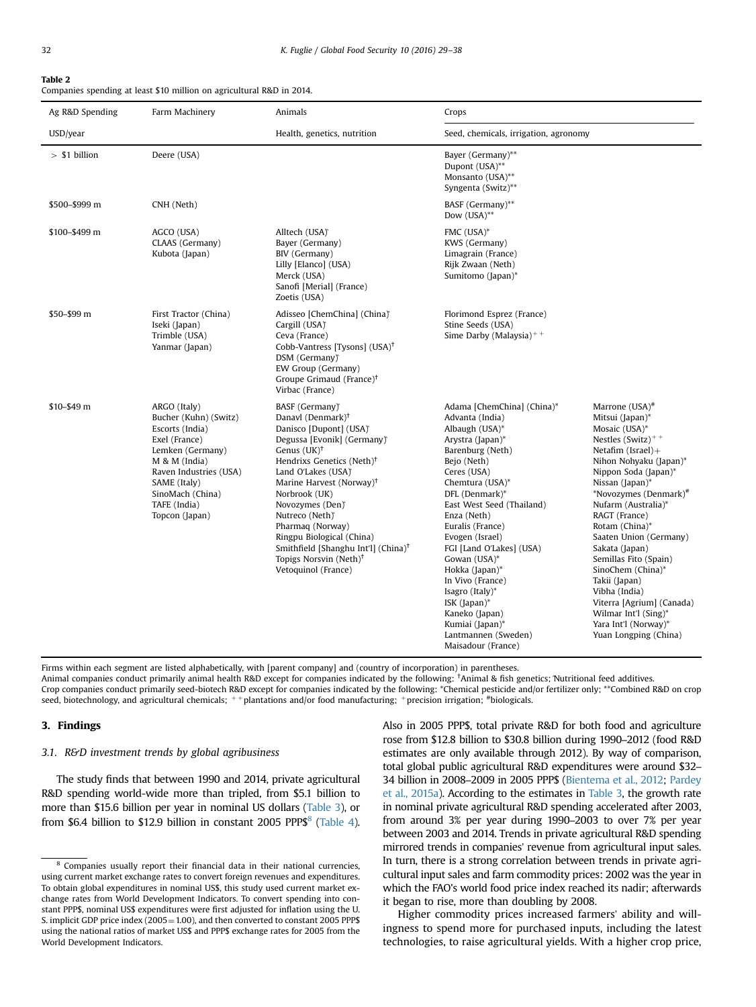<span id="page-3-0"></span>Companies spending at least \$10 million on agricultural R&D in 2014.

| Ag R&D Spending | Farm Machinery                                                                                                                                                                                                     | Animals                                                                                                                                                                                                                                                                                                                                                                                                                                                         | Crops                                                                                                                                                                                                                                                                                                                                                                                                                                                                |                                                                                                                                                                                                                                                                                                                                                                                                                                                                                                                        |
|-----------------|--------------------------------------------------------------------------------------------------------------------------------------------------------------------------------------------------------------------|-----------------------------------------------------------------------------------------------------------------------------------------------------------------------------------------------------------------------------------------------------------------------------------------------------------------------------------------------------------------------------------------------------------------------------------------------------------------|----------------------------------------------------------------------------------------------------------------------------------------------------------------------------------------------------------------------------------------------------------------------------------------------------------------------------------------------------------------------------------------------------------------------------------------------------------------------|------------------------------------------------------------------------------------------------------------------------------------------------------------------------------------------------------------------------------------------------------------------------------------------------------------------------------------------------------------------------------------------------------------------------------------------------------------------------------------------------------------------------|
| USD/year        |                                                                                                                                                                                                                    | Health, genetics, nutrition                                                                                                                                                                                                                                                                                                                                                                                                                                     | Seed, chemicals, irrigation, agronomy                                                                                                                                                                                                                                                                                                                                                                                                                                |                                                                                                                                                                                                                                                                                                                                                                                                                                                                                                                        |
| $>$ \$1 billion | Deere (USA)                                                                                                                                                                                                        |                                                                                                                                                                                                                                                                                                                                                                                                                                                                 | Bayer (Germany)**<br>Dupont (USA)**<br>Monsanto (USA)**<br>Syngenta (Switz)**                                                                                                                                                                                                                                                                                                                                                                                        |                                                                                                                                                                                                                                                                                                                                                                                                                                                                                                                        |
| \$500-\$999 m   | CNH (Neth)                                                                                                                                                                                                         |                                                                                                                                                                                                                                                                                                                                                                                                                                                                 | BASF (Germany)**<br>Dow (USA)**                                                                                                                                                                                                                                                                                                                                                                                                                                      |                                                                                                                                                                                                                                                                                                                                                                                                                                                                                                                        |
| \$100-\$499 m   | AGCO (USA)<br>CLAAS (Germany)<br>Kubota (Japan)                                                                                                                                                                    | Alltech (USA)<br>Bayer (Germany)<br>BIV (Germany)<br>Lilly [Elanco] (USA)<br>Merck (USA)<br>Sanofi [Merial] (France)<br>Zoetis (USA)                                                                                                                                                                                                                                                                                                                            | FMC (USA)*<br>KWS (Germany)<br>Limagrain (France)<br>Rijk Zwaan (Neth)<br>Sumitomo (Japan)*                                                                                                                                                                                                                                                                                                                                                                          |                                                                                                                                                                                                                                                                                                                                                                                                                                                                                                                        |
| \$50-\$99 m     | First Tractor (China)<br>Iseki (Japan)<br>Trimble (USA)<br>Yanmar (Japan)                                                                                                                                          | Adisseo [ChemChina] (China)<br>Cargill (USA)<br>Ceva (France)<br>Cobb-Vantress [Tysons] (USA) <sup>†</sup><br>DSM (Germany)<br>EW Group (Germany)<br>Groupe Grimaud (France) <sup>†</sup><br>Virbac (France)                                                                                                                                                                                                                                                    | Florimond Esprez (France)<br>Stine Seeds (USA)<br>Sime Darby (Malaysia) <sup>++</sup>                                                                                                                                                                                                                                                                                                                                                                                |                                                                                                                                                                                                                                                                                                                                                                                                                                                                                                                        |
| \$10-\$49 m     | ARGO (Italy)<br>Bucher (Kuhn) (Switz)<br>Escorts (India)<br>Exel (France)<br>Lemken (Germany)<br>$M$ & $M$ (India)<br>Raven Industries (USA)<br>SAME (Italy)<br>SinoMach (China)<br>TAFE (India)<br>Topcon (Japan) | BASF (Germany)<br>Danavl (Denmark) <sup>†</sup><br>Danisco [Dupont] (USA)<br>Degussa [Evonik] (Germany)<br>Genus $(UK)^{\dagger}$<br>Hendrixs Genetics (Neth) <sup>†</sup><br>Land O'Lakes (USA)<br>Marine Harvest (Norway) <sup>†</sup><br>Norbrook (UK)<br>Novozymes (Den)<br>Nutreco (Neth)<br>Pharmaq (Norway)<br>Ringpu Biological (China)<br>Smithfield [Shanghu Int'l] (China) <sup>†</sup><br>Topigs Norsvin (Neth) <sup>†</sup><br>Vetoquinol (France) | Adama [ChemChina] (China)*<br>Advanta (India)<br>Albaugh (USA)*<br>Arystra (Japan)*<br>Barenburg (Neth)<br>Bejo (Neth)<br>Ceres (USA)<br>Chemtura (USA)*<br>DFL (Denmark)*<br>East West Seed (Thailand)<br>Enza (Neth)<br>Euralis (France)<br>Evogen (Israel)<br>FGI [Land O'Lakes] (USA)<br>Gowan (USA)*<br>Hokka (Japan)*<br>In Vivo (France)<br>Isagro (Italy)*<br>ISK (Japan)*<br>Kaneko (Japan)<br>Kumiai (Japan)*<br>Lantmannen (Sweden)<br>Maisadour (France) | Marrone (USA) <sup>#</sup><br>Mitsui (Japan)*<br>Mosaic (USA)*<br>Nestles $(Switz)^{++}$<br>Netafim $(Israel) +$<br>Nihon Nohyaku (Japan)*<br>Nippon Soda (Japan)*<br>Nissan (Japan)*<br>*Novozymes (Denmark) <sup>#</sup><br>Nufarm (Australia)*<br>RAGT (France)<br>Rotam (China)*<br>Saaten Union (Germany)<br>Sakata (Japan)<br>Semillas Fito (Spain)<br>SinoChem (China)*<br>Takii (Japan)<br>Vibha (India)<br>Viterra [Agrium] (Canada)<br>Wilmar Int'l (Sing)*<br>Yara Int'l (Norway)*<br>Yuan Longping (China) |

Firms within each segment are listed alphabetically, with [parent company] and (country of incorporation) in parentheses.

Animal companies conduct primarily animal health R&D except for companies indicated by the following: <sup>†</sup>Animal & fish genetics; Nutritional feed additives. Crop companies conduct primarily seed-biotech R&D except for companies indicated by the following: \*Chemical pesticide and/or fertilizer only; \*\*Combined R&D on crop seed, biotechnology, and agricultural chemicals;  $+$  plantations and/or food manufacturing;  $+$  precision irrigation;  $*$  biologicals.

## 3. Findings

## 3.1. R&D investment trends by global agribusiness

The study finds that between 1990 and 2014, private agricultural R&D spending world-wide more than tripled, from \$5.1 billion to more than \$15.6 billion per year in nominal US dollars [\(Table 3](#page-4-0)), or from \$6.4 billion to \$12.9 billion in constant 2005 PPP $$^8$  [\(Table 4\)](#page-4-0).

Also in 2005 PPP\$, total private R&D for both food and agriculture rose from \$12.8 billion to \$30.8 billion during 1990–2012 (food R&D estimates are only available through 2012). By way of comparison, total global public agricultural R&D expenditures were around \$32– 34 billion in 2008–2009 in 2005 PPP\$ [\(Bientema et al., 2012;](#page-8-0) [Pardey](#page-9-0) [et al., 2015a\)](#page-9-0). According to the estimates in [Table 3](#page-4-0), the growth rate in nominal private agricultural R&D spending accelerated after 2003, from around 3% per year during 1990–2003 to over 7% per year between 2003 and 2014. Trends in private agricultural R&D spending mirrored trends in companies' revenue from agricultural input sales. In turn, there is a strong correlation between trends in private agricultural input sales and farm commodity prices: 2002 was the year in which the FAO's world food price index reached its nadir; afterwards it began to rise, more than doubling by 2008.

Higher commodity prices increased farmers' ability and willingness to spend more for purchased inputs, including the latest technologies, to raise agricultural yields. With a higher crop price,

Companies usually report their financial data in their national currencies, using current market exchange rates to convert foreign revenues and expenditures. To obtain global expenditures in nominal US\$, this study used current market exchange rates from World Development Indicators. To convert spending into constant PPP\$, nominal US\$ expenditures were first adjusted for inflation using the U. S. implicit GDP price index  $(2005=1.00)$ , and then converted to constant 2005 PPP\$ using the national ratios of market US\$ and PPP\$ exchange rates for 2005 from the World Development Indicators.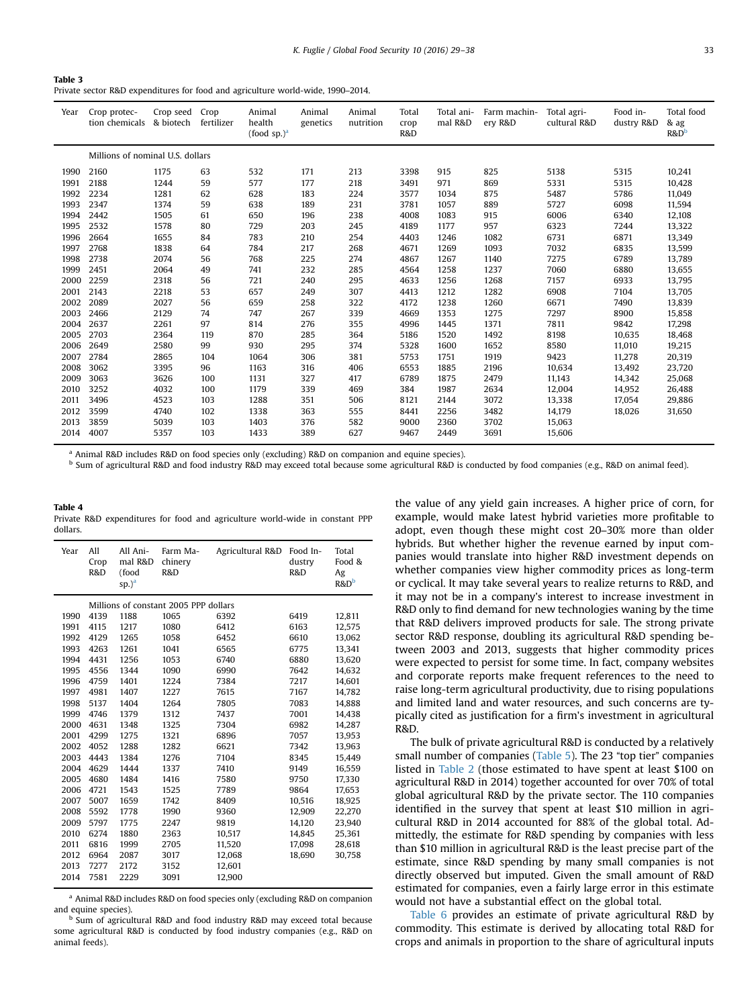<span id="page-4-0"></span>Private sector R&D expenditures for food and agriculture world-wide, 1990–2014.

| Year | Crop protec-<br>tion chemicals   | Crop seed<br>& biotech | Crop<br>fertilizer | Animal<br>health<br>$(food$ sp. $)^a$ | Animal<br>genetics | Animal<br>nutrition | Total<br>crop<br>R&D | Total ani-<br>mal R&D | Farm machin-<br>ery R&D | Total agri-<br>cultural R&D | Food in-<br>dustry R&D | Total food<br>& ag<br>$R&D^b$ |
|------|----------------------------------|------------------------|--------------------|---------------------------------------|--------------------|---------------------|----------------------|-----------------------|-------------------------|-----------------------------|------------------------|-------------------------------|
|      | Millions of nominal U.S. dollars |                        |                    |                                       |                    |                     |                      |                       |                         |                             |                        |                               |
| 1990 | 2160                             | 1175                   | 63                 | 532                                   | 171                | 213                 | 3398                 | 915                   | 825                     | 5138                        | 5315                   | 10,241                        |
| 1991 | 2188                             | 1244                   | 59                 | 577                                   | 177                | 218                 | 3491                 | 971                   | 869                     | 5331                        | 5315                   | 10,428                        |
| 1992 | 2234                             | 1281                   | 62                 | 628                                   | 183                | 224                 | 3577                 | 1034                  | 875                     | 5487                        | 5786                   | 11,049                        |
| 1993 | 2347                             | 1374                   | 59                 | 638                                   | 189                | 231                 | 3781                 | 1057                  | 889                     | 5727                        | 6098                   | 11,594                        |
| 1994 | 2442                             | 1505                   | 61                 | 650                                   | 196                | 238                 | 4008                 | 1083                  | 915                     | 6006                        | 6340                   | 12,108                        |
| 1995 | 2532                             | 1578                   | 80                 | 729                                   | 203                | 245                 | 4189                 | 1177                  | 957                     | 6323                        | 7244                   | 13,322                        |
| 1996 | 2664                             | 1655                   | 84                 | 783                                   | 210                | 254                 | 4403                 | 1246                  | 1082                    | 6731                        | 6871                   | 13,349                        |
| 1997 | 2768                             | 1838                   | 64                 | 784                                   | 217                | 268                 | 4671                 | 1269                  | 1093                    | 7032                        | 6835                   | 13,599                        |
| 1998 | 2738                             | 2074                   | 56                 | 768                                   | 225                | 274                 | 4867                 | 1267                  | 1140                    | 7275                        | 6789                   | 13,789                        |
| 1999 | 2451                             | 2064                   | 49                 | 741                                   | 232                | 285                 | 4564                 | 1258                  | 1237                    | 7060                        | 6880                   | 13,655                        |
| 2000 | 2259                             | 2318                   | 56                 | 721                                   | 240                | 295                 | 4633                 | 1256                  | 1268                    | 7157                        | 6933                   | 13,795                        |
| 2001 | 2143                             | 2218                   | 53                 | 657                                   | 249                | 307                 | 4413                 | 1212                  | 1282                    | 6908                        | 7104                   | 13,705                        |
| 2002 | 2089                             | 2027                   | 56                 | 659                                   | 258                | 322                 | 4172                 | 1238                  | 1260                    | 6671                        | 7490                   | 13,839                        |
| 2003 | 2466                             | 2129                   | 74                 | 747                                   | 267                | 339                 | 4669                 | 1353                  | 1275                    | 7297                        | 8900                   | 15,858                        |
| 2004 | 2637                             | 2261                   | 97                 | 814                                   | 276                | 355                 | 4996                 | 1445                  | 1371                    | 7811                        | 9842                   | 17,298                        |
| 2005 | 2703                             | 2364                   | 119                | 870                                   | 285                | 364                 | 5186                 | 1520                  | 1492                    | 8198                        | 10,635                 | 18,468                        |
| 2006 | 2649                             | 2580                   | 99                 | 930                                   | 295                | 374                 | 5328                 | 1600                  | 1652                    | 8580                        | 11,010                 | 19,215                        |
| 2007 | 2784                             | 2865                   | 104                | 1064                                  | 306                | 381                 | 5753                 | 1751                  | 1919                    | 9423                        | 11,278                 | 20,319                        |
| 2008 | 3062                             | 3395                   | 96                 | 1163                                  | 316                | 406                 | 6553                 | 1885                  | 2196                    | 10,634                      | 13,492                 | 23,720                        |
| 2009 | 3063                             | 3626                   | 100                | 1131                                  | 327                | 417                 | 6789                 | 1875                  | 2479                    | 11,143                      | 14,342                 | 25,068                        |
| 2010 | 3252                             | 4032                   | 100                | 1179                                  | 339                | 469                 | 384                  | 1987                  | 2634                    | 12,004                      | 14,952                 | 26,488                        |
| 2011 | 3496                             | 4523                   | 103                | 1288                                  | 351                | 506                 | 8121                 | 2144                  | 3072                    | 13,338                      | 17,054                 | 29,886                        |
| 2012 | 3599                             | 4740                   | 102                | 1338                                  | 363                | 555                 | 8441                 | 2256                  | 3482                    | 14,179                      | 18,026                 | 31,650                        |
| 2013 | 3859                             | 5039                   | 103                | 1403                                  | 376                | 582                 | 9000                 | 2360                  | 3702                    | 15,063                      |                        |                               |
| 2014 | 4007                             | 5357                   | 103                | 1433                                  | 389                | 627                 | 9467                 | 2449                  | 3691                    | 15.606                      |                        |                               |
|      |                                  |                        |                    |                                       |                    |                     |                      |                       |                         |                             |                        |                               |

<sup>a</sup> Animal R&D includes R&D on food species only (excluding) R&D on companion and equine species).

<sup>b</sup> Sum of agricultural R&D and food industry R&D may exceed total because some agricultural R&D is conducted by food companies (e.g., R&D on animal feed).

Table 4 Private R&D expenditures for food and agriculture world-wide in constant PPP dollars.

| Year | All<br>Crop<br>R&D | All Ani-<br>mal R&D<br>(food<br>$\text{sp.}\text{)}^{\text{a}}$ | Farm Ma-<br>chinery<br>R&D            | Agricultural R&D | Food In-<br>dustry<br>R&D | Total<br>Food &<br>Ag<br>$R&D^b$ |
|------|--------------------|-----------------------------------------------------------------|---------------------------------------|------------------|---------------------------|----------------------------------|
|      |                    |                                                                 | Millions of constant 2005 PPP dollars |                  |                           |                                  |
| 1990 | 4139               | 1188                                                            | 1065                                  | 6392             | 6419                      | 12,811                           |
| 1991 | 4115               | 1217                                                            | 1080                                  | 6412             | 6163                      | 12.575                           |
| 1992 | 4129               | 1265                                                            | 1058                                  | 6452             | 6610                      | 13,062                           |
| 1993 | 4263               | 1261                                                            | 1041                                  | 6565             | 6775                      | 13,341                           |
| 1994 | 4431               | 1256                                                            | 1053                                  | 6740             | 6880                      | 13,620                           |
| 1995 | 4556               | 1344                                                            | 1090                                  | 6990             | 7642                      | 14,632                           |
| 1996 | 4759               | 1401                                                            | 1224                                  | 7384             | 7217                      | 14,601                           |
| 1997 | 4981               | 1407                                                            | 1227                                  | 7615             | 7167                      | 14,782                           |
| 1998 | 5137               | 1404                                                            | 1264                                  | 7805             | 7083                      | 14.888                           |
| 1999 | 4746               | 1379                                                            | 1312                                  | 7437             | 7001                      | 14.438                           |
| 2000 | 4631               | 1348                                                            | 1325                                  | 7304             | 6982                      | 14,287                           |
| 2001 | 4299               | 1275                                                            | 1321                                  | 6896             | 7057                      | 13,953                           |
| 2002 | 4052               | 1288                                                            | 1282                                  | 6621             | 7342                      | 13,963                           |
| 2003 | 4443               | 1384                                                            | 1276                                  | 7104             | 8345                      | 15,449                           |
| 2004 | 4629               | 1444                                                            | 1337                                  | 7410             | 9149                      | 16,559                           |
| 2005 | 4680               | 1484                                                            | 1416                                  | 7580             | 9750                      | 17,330                           |
| 2006 | 4721               | 1543                                                            | 1525                                  | 7789             | 9864                      | 17,653                           |
| 2007 | 5007               | 1659                                                            | 1742                                  | 8409             | 10,516                    | 18,925                           |
| 2008 | 5592               | 1778                                                            | 1990                                  | 9360             | 12,909                    | 22,270                           |
| 2009 | 5797               | 1775                                                            | 2247                                  | 9819             | 14,120                    | 23,940                           |
| 2010 | 6274               | 1880                                                            | 2363                                  | 10,517           | 14,845                    | 25,361                           |
| 2011 | 6816               | 1999                                                            | 2705                                  | 11,520           | 17,098                    | 28,618                           |
| 2012 | 6964               | 2087                                                            | 3017                                  | 12,068           | 18,690                    | 30,758                           |
| 2013 | 7277               | 2172                                                            | 3152                                  | 12,601           |                           |                                  |
| 2014 | 7581               | 2229                                                            | 3091                                  | 12,900           |                           |                                  |

<sup>a</sup> Animal R&D includes R&D on food species only (excluding R&D on companion and equine species).

<sup>b</sup> Sum of agricultural R&D and food industry R&D may exceed total because some agricultural R&D is conducted by food industry companies (e.g., R&D on animal feeds).

the value of any yield gain increases. A higher price of corn, for example, would make latest hybrid varieties more profitable to adopt, even though these might cost 20–30% more than older hybrids. But whether higher the revenue earned by input companies would translate into higher R&D investment depends on whether companies view higher commodity prices as long-term or cyclical. It may take several years to realize returns to R&D, and it may not be in a company's interest to increase investment in R&D only to find demand for new technologies waning by the time that R&D delivers improved products for sale. The strong private sector R&D response, doubling its agricultural R&D spending between 2003 and 2013, suggests that higher commodity prices were expected to persist for some time. In fact, company websites and corporate reports make frequent references to the need to raise long-term agricultural productivity, due to rising populations and limited land and water resources, and such concerns are typically cited as justification for a firm's investment in agricultural R&D.

The bulk of private agricultural R&D is conducted by a relatively small number of companies ([Table 5\)](#page-5-0). The 23 "top tier" companies listed in [Table 2](#page-3-0) (those estimated to have spent at least \$100 on agricultural R&D in 2014) together accounted for over 70% of total global agricultural R&D by the private sector. The 110 companies identified in the survey that spent at least \$10 million in agricultural R&D in 2014 accounted for 88% of the global total. Admittedly, the estimate for R&D spending by companies with less than \$10 million in agricultural R&D is the least precise part of the estimate, since R&D spending by many small companies is not directly observed but imputed. Given the small amount of R&D estimated for companies, even a fairly large error in this estimate would not have a substantial effect on the global total.

[Table 6](#page-5-0) provides an estimate of private agricultural R&D by commodity. This estimate is derived by allocating total R&D for crops and animals in proportion to the share of agricultural inputs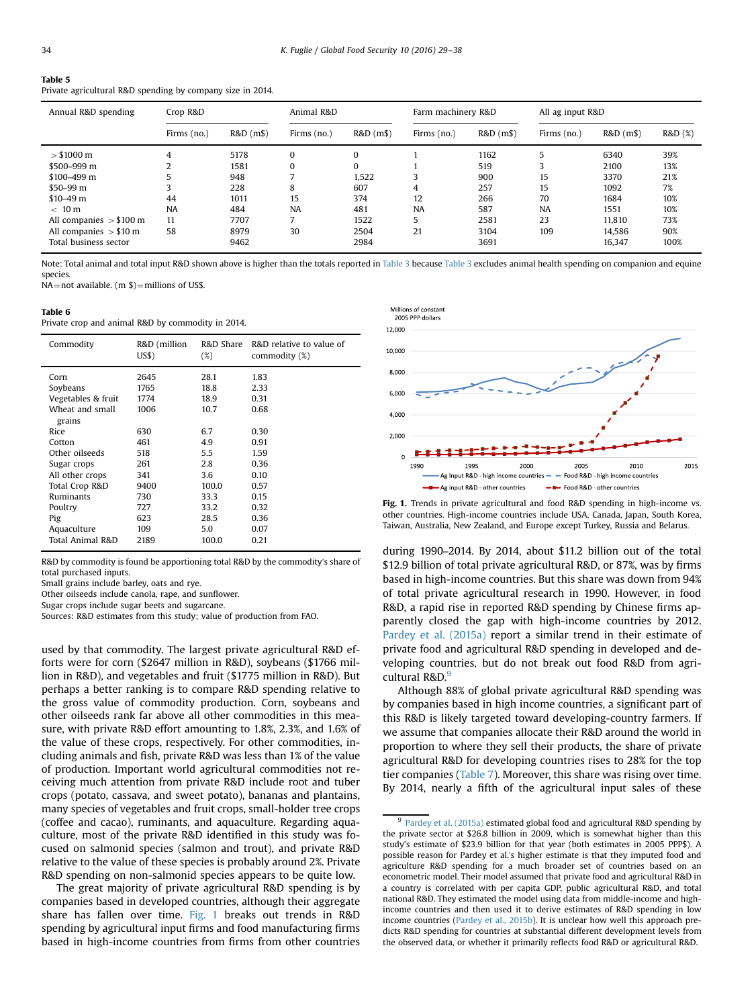<span id="page-5-0"></span>Private agricultural R&D spending by company size in 2014.

| Annual R&D spending              | Crop R&D      |          | Animal R&D  |          | Farm machinery R&D |          | All ag input R&D |           |         |
|----------------------------------|---------------|----------|-------------|----------|--------------------|----------|------------------|-----------|---------|
|                                  | Firms $(no.)$ | R&D(m\$) | Firms (no.) | R&D(m\$) | Firms $(no.)$      | R&D(m\$) | Firms $(no.)$    | R&D (m\$) | R&D (%) |
| $>$ \$1000 m                     | 4             | 5178     | 0           | $\Omega$ |                    | 1162     |                  | 6340      | 39%     |
| \$500-999 m                      |               | 1581     | 0           | $\Omega$ |                    | 519      |                  | 2100      | 13%     |
| \$100-499 m                      |               | 948      |             | 1.522    |                    | 900      | 15               | 3370      | 21%     |
| $$50 - 99 \text{ m}$             | 3             | 228      | 8           | 607      | 4                  | 257      | 15               | 1092      | 7%      |
| $$10-49$ m                       | 44            | 1011     | 15          | 374      | 12                 | 266      | 70               | 1684      | 10%     |
| < 10 m                           | <b>NA</b>     | 484      | <b>NA</b>   | 481      | <b>NA</b>          | 587      | <b>NA</b>        | 1551      | 10%     |
| All companies $> $100 \text{ m}$ | 11            | 7707     | ⇁           | 1522     | 5                  | 2581     | 23               | 11.810    | 73%     |
| All companies $> $10 \text{ m}$  | 58            | 8979     | 30          | 2504     | 21                 | 3104     | 109              | 14.586    | 90%     |
| Total business sector            |               | 9462     |             | 2984     |                    | 3691     |                  | 16.347    | 100%    |

Note: Total animal and total input R&D shown above is higher than the totals reported in [Table 3](#page-4-0) because Table 3 excludes animal health spending on companion and equine species.

 $NA = not available$ . (m  $\text{\$}$ ) = millions of US\$.

#### Table 6

Private crop and animal R&D by commodity in 2014.

| Commodity                 | R&D (million<br>US\$) | R&D Share<br>$(\%)$ | R&D relative to value of<br>commodity (%) |
|---------------------------|-----------------------|---------------------|-------------------------------------------|
| Corn                      | 2645                  | 28.1                | 1.83                                      |
| Soybeans                  | 1765                  | 18.8                | 2.33                                      |
| Vegetables & fruit        | 1774                  | 18.9                | 0.31                                      |
| Wheat and small<br>grains | 1006                  | 10.7                | 0.68                                      |
| Rice                      | 630                   | 6.7                 | 0.30                                      |
| Cotton                    | 461                   | 4.9                 | 0.91                                      |
| Other oilseeds            | 518                   | 5.5                 | 1.59                                      |
| Sugar crops               | 261                   | 2.8                 | 0.36                                      |
| All other crops           | 341                   | 3.6                 | 0.10                                      |
| Total Crop R&D            | 9400                  | 100.0               | 0.57                                      |
| Ruminants                 | 730                   | 33.3                | 0.15                                      |
| Poultry                   | 727                   | 33.2                | 0.32                                      |
| Pig                       | 623                   | 28.5                | 0.36                                      |
| Aquaculture               | 109                   | 5.0                 | 0.07                                      |
| Total Animal R&D          | 2189                  | 100.0               | 0.21                                      |

R&D by commodity is found be apportioning total R&D by the commodity's share of total purchased inputs.

Small grains include barley, oats and rye.

Other oilseeds include canola, rape, and sunflower.

Sugar crops include sugar beets and sugarcane.

Sources: R&D estimates from this study; value of production from FAO.

used by that commodity. The largest private agricultural R&D efforts were for corn (\$2647 million in R&D), soybeans (\$1766 million in R&D), and vegetables and fruit (\$1775 million in R&D). But perhaps a better ranking is to compare R&D spending relative to the gross value of commodity production. Corn, soybeans and other oilseeds rank far above all other commodities in this measure, with private R&D effort amounting to 1.8%, 2.3%, and 1.6% of the value of these crops, respectively. For other commodities, including animals and fish, private R&D was less than 1% of the value of production. Important world agricultural commodities not receiving much attention from private R&D include root and tuber crops (potato, cassava, and sweet potato), bananas and plantains, many species of vegetables and fruit crops, small-holder tree crops (coffee and cacao), ruminants, and aquaculture. Regarding aquaculture, most of the private R&D identified in this study was focused on salmonid species (salmon and trout), and private R&D relative to the value of these species is probably around 2%. Private R&D spending on non-salmonid species appears to be quite low.

The great majority of private agricultural R&D spending is by companies based in developed countries, although their aggregate share has fallen over time. Fig. 1 breaks out trends in R&D spending by agricultural input firms and food manufacturing firms based in high-income countries from firms from other countries



Fig. 1. Trends in private agricultural and food R&D spending in high-income vs. other countries. High-income countries include USA, Canada, Japan, South Korea, Taiwan, Australia, New Zealand, and Europe except Turkey, Russia and Belarus.

during 1990–2014. By 2014, about \$11.2 billion out of the total \$12.9 billion of total private agricultural R&D, or 87%, was by firms based in high-income countries. But this share was down from 94% of total private agricultural research in 1990. However, in food R&D, a rapid rise in reported R&D spending by Chinese firms apparently closed the gap with high-income countries by 2012. [Pardey et al. \(2015a\)](#page-9-0) report a similar trend in their estimate of private food and agricultural R&D spending in developed and developing countries, but do not break out food R&D from agricultural R&D.<sup>9</sup>

Although 88% of global private agricultural R&D spending was by companies based in high income countries, a significant part of this R&D is likely targeted toward developing-country farmers. If we assume that companies allocate their R&D around the world in proportion to where they sell their products, the share of private agricultural R&D for developing countries rises to 28% for the top tier companies [\(Table 7](#page-6-0)). Moreover, this share was rising over time. By 2014, nearly a fifth of the agricultural input sales of these

<sup>9</sup> [Pardey et al. \(2015a\)](#page-9-0) estimated global food and agricultural R&D spending by the private sector at \$26.8 billion in 2009, which is somewhat higher than this study's estimate of \$23.9 billion for that year (both estimates in 2005 PPP\$). A possible reason for Pardey et al.'s higher estimate is that they imputed food and agriculture R&D spending for a much broader set of countries based on an econometric model. Their model assumed that private food and agricultural R&D in a country is correlated with per capita GDP, public agricultural R&D, and total national R&D. They estimated the model using data from middle-income and highincome countries and then used it to derive estimates of R&D spending in low income countries [\(Pardey et al., 2015b\)](#page-9-0). It is unclear how well this approach predicts R&D spending for countries at substantial different development levels from the observed data, or whether it primarily reflects food R&D or agricultural R&D.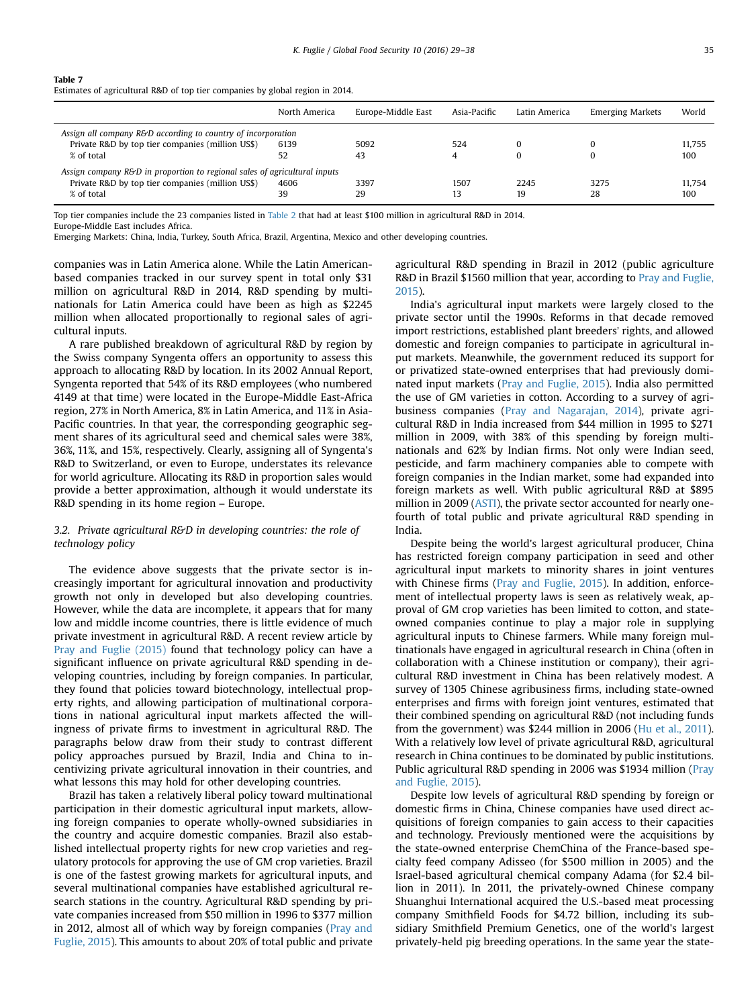<span id="page-6-0"></span>Estimates of agricultural R&D of top tier companies by global region in 2014.

|                                                                           | North America | Europe-Middle East | Asia-Pacific | Latin America | <b>Emerging Markets</b> | World  |
|---------------------------------------------------------------------------|---------------|--------------------|--------------|---------------|-------------------------|--------|
| Assign all company R&D according to country of incorporation              |               |                    |              |               |                         |        |
| Private R&D by top tier companies (million US\$)                          | 6139          | 5092               | 524          |               |                         | 11.755 |
| % of total                                                                | 52            | 43                 | 4            |               |                         | 100    |
| Assign company R&D in proportion to regional sales of agricultural inputs |               |                    |              |               |                         |        |
| Private R&D by top tier companies (million US\$)                          | 4606          | 3397               | 1507         | 2245          | 3275                    | 11.754 |
| % of total                                                                | 39            | 29                 | 13           | 19            | 28                      | 100    |

Top tier companies include the 23 companies listed in [Table 2](#page-3-0) that had at least \$100 million in agricultural R&D in 2014.

Europe-Middle East includes Africa.

Emerging Markets: China, India, Turkey, South Africa, Brazil, Argentina, Mexico and other developing countries.

companies was in Latin America alone. While the Latin Americanbased companies tracked in our survey spent in total only \$31 million on agricultural R&D in 2014, R&D spending by multinationals for Latin America could have been as high as \$2245 million when allocated proportionally to regional sales of agricultural inputs.

A rare published breakdown of agricultural R&D by region by the Swiss company Syngenta offers an opportunity to assess this approach to allocating R&D by location. In its 2002 Annual Report, Syngenta reported that 54% of its R&D employees (who numbered 4149 at that time) were located in the Europe-Middle East-Africa region, 27% in North America, 8% in Latin America, and 11% in Asia-Pacific countries. In that year, the corresponding geographic segment shares of its agricultural seed and chemical sales were 38%, 36%, 11%, and 15%, respectively. Clearly, assigning all of Syngenta's R&D to Switzerland, or even to Europe, understates its relevance for world agriculture. Allocating its R&D in proportion sales would provide a better approximation, although it would understate its R&D spending in its home region – Europe.

## 3.2. Private agricultural R&D in developing countries: the role of technology policy

The evidence above suggests that the private sector is increasingly important for agricultural innovation and productivity growth not only in developed but also developing countries. However, while the data are incomplete, it appears that for many low and middle income countries, there is little evidence of much private investment in agricultural R&D. A recent review article by [Pray and Fuglie \(2015\)](#page-9-0) found that technology policy can have a significant influence on private agricultural R&D spending in developing countries, including by foreign companies. In particular, they found that policies toward biotechnology, intellectual property rights, and allowing participation of multinational corporations in national agricultural input markets affected the willingness of private firms to investment in agricultural R&D. The paragraphs below draw from their study to contrast different policy approaches pursued by Brazil, India and China to incentivizing private agricultural innovation in their countries, and what lessons this may hold for other developing countries.

Brazil has taken a relatively liberal policy toward multinational participation in their domestic agricultural input markets, allowing foreign companies to operate wholly-owned subsidiaries in the country and acquire domestic companies. Brazil also established intellectual property rights for new crop varieties and regulatory protocols for approving the use of GM crop varieties. Brazil is one of the fastest growing markets for agricultural inputs, and several multinational companies have established agricultural research stations in the country. Agricultural R&D spending by private companies increased from \$50 million in 1996 to \$377 million in 2012, almost all of which way by foreign companies [\(Pray and](#page-9-0) [Fuglie, 2015](#page-9-0)). This amounts to about 20% of total public and private agricultural R&D spending in Brazil in 2012 (public agriculture R&D in Brazil \$1560 million that year, according to [Pray and Fuglie,](#page-9-0) [2015\)](#page-9-0).

India's agricultural input markets were largely closed to the private sector until the 1990s. Reforms in that decade removed import restrictions, established plant breeders' rights, and allowed domestic and foreign companies to participate in agricultural input markets. Meanwhile, the government reduced its support for or privatized state-owned enterprises that had previously dominated input markets [\(Pray and Fuglie, 2015](#page-9-0)). India also permitted the use of GM varieties in cotton. According to a survey of agribusiness companies [\(Pray and Nagarajan, 2014\)](#page-9-0), private agricultural R&D in India increased from \$44 million in 1995 to \$271 million in 2009, with 38% of this spending by foreign multinationals and 62% by Indian firms. Not only were Indian seed, pesticide, and farm machinery companies able to compete with foreign companies in the Indian market, some had expanded into foreign markets as well. With public agricultural R&D at \$895 million in 2009 [\(ASTI](#page-8-0)), the private sector accounted for nearly onefourth of total public and private agricultural R&D spending in India.

Despite being the world's largest agricultural producer, China has restricted foreign company participation in seed and other agricultural input markets to minority shares in joint ventures with Chinese firms ([Pray and Fuglie, 2015\)](#page-9-0). In addition, enforcement of intellectual property laws is seen as relatively weak, approval of GM crop varieties has been limited to cotton, and stateowned companies continue to play a major role in supplying agricultural inputs to Chinese farmers. While many foreign multinationals have engaged in agricultural research in China (often in collaboration with a Chinese institution or company), their agricultural R&D investment in China has been relatively modest. A survey of 1305 Chinese agribusiness firms, including state-owned enterprises and firms with foreign joint ventures, estimated that their combined spending on agricultural R&D (not including funds from the government) was \$244 million in 2006 ([Hu et al., 2011\)](#page-9-0). With a relatively low level of private agricultural R&D, agricultural research in China continues to be dominated by public institutions. Public agricultural R&D spending in 2006 was \$1934 million ([Pray](#page-9-0) [and Fuglie, 2015](#page-9-0)).

Despite low levels of agricultural R&D spending by foreign or domestic firms in China, Chinese companies have used direct acquisitions of foreign companies to gain access to their capacities and technology. Previously mentioned were the acquisitions by the state-owned enterprise ChemChina of the France-based specialty feed company Adisseo (for \$500 million in 2005) and the Israel-based agricultural chemical company Adama (for \$2.4 billion in 2011). In 2011, the privately-owned Chinese company Shuanghui International acquired the U.S.-based meat processing company Smithfield Foods for \$4.72 billion, including its subsidiary Smithfield Premium Genetics, one of the world's largest privately-held pig breeding operations. In the same year the state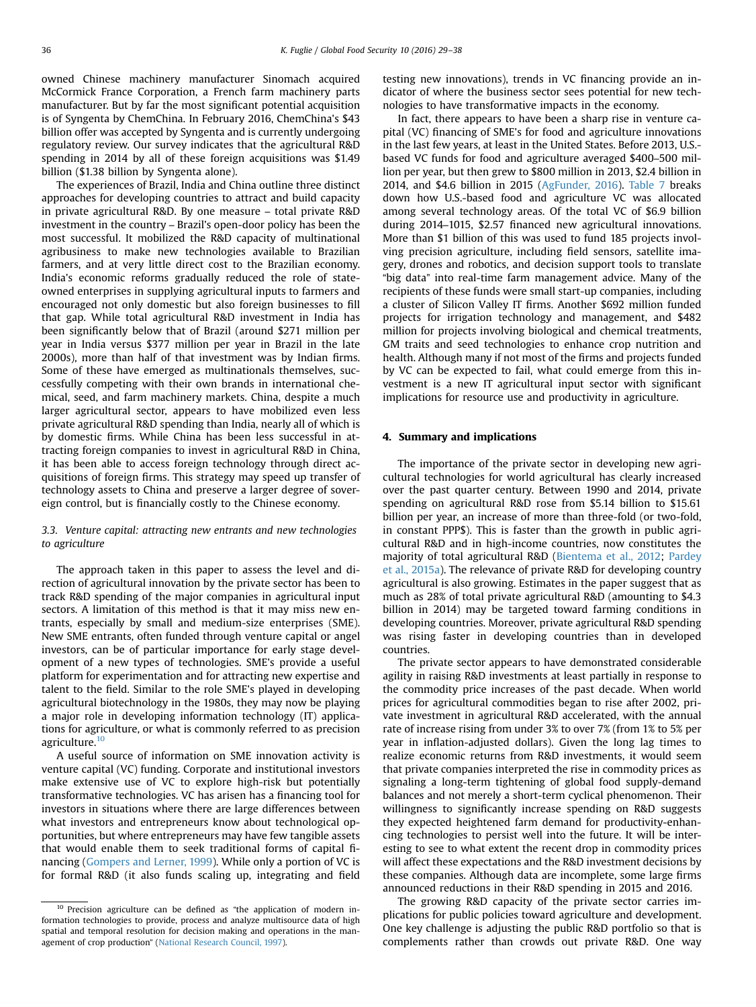owned Chinese machinery manufacturer Sinomach acquired McCormick France Corporation, a French farm machinery parts manufacturer. But by far the most significant potential acquisition is of Syngenta by ChemChina. In February 2016, ChemChina's \$43 billion offer was accepted by Syngenta and is currently undergoing regulatory review. Our survey indicates that the agricultural R&D spending in 2014 by all of these foreign acquisitions was \$1.49 billion (\$1.38 billion by Syngenta alone).

The experiences of Brazil, India and China outline three distinct approaches for developing countries to attract and build capacity in private agricultural R&D. By one measure – total private R&D investment in the country – Brazil's open-door policy has been the most successful. It mobilized the R&D capacity of multinational agribusiness to make new technologies available to Brazilian farmers, and at very little direct cost to the Brazilian economy. India's economic reforms gradually reduced the role of stateowned enterprises in supplying agricultural inputs to farmers and encouraged not only domestic but also foreign businesses to fill that gap. While total agricultural R&D investment in India has been significantly below that of Brazil (around \$271 million per year in India versus \$377 million per year in Brazil in the late 2000s), more than half of that investment was by Indian firms. Some of these have emerged as multinationals themselves, successfully competing with their own brands in international chemical, seed, and farm machinery markets. China, despite a much larger agricultural sector, appears to have mobilized even less private agricultural R&D spending than India, nearly all of which is by domestic firms. While China has been less successful in attracting foreign companies to invest in agricultural R&D in China, it has been able to access foreign technology through direct acquisitions of foreign firms. This strategy may speed up transfer of technology assets to China and preserve a larger degree of sovereign control, but is financially costly to the Chinese economy.

## 3.3. Venture capital: attracting new entrants and new technologies to agriculture

The approach taken in this paper to assess the level and direction of agricultural innovation by the private sector has been to track R&D spending of the major companies in agricultural input sectors. A limitation of this method is that it may miss new entrants, especially by small and medium-size enterprises (SME). New SME entrants, often funded through venture capital or angel investors, can be of particular importance for early stage development of a new types of technologies. SME's provide a useful platform for experimentation and for attracting new expertise and talent to the field. Similar to the role SME's played in developing agricultural biotechnology in the 1980s, they may now be playing a major role in developing information technology (IT) applications for agriculture, or what is commonly referred to as precision agriculture.<sup>10</sup>

A useful source of information on SME innovation activity is venture capital (VC) funding. Corporate and institutional investors make extensive use of VC to explore high-risk but potentially transformative technologies. VC has arisen has a financing tool for investors in situations where there are large differences between what investors and entrepreneurs know about technological opportunities, but where entrepreneurs may have few tangible assets that would enable them to seek traditional forms of capital financing [\(Gompers and Lerner, 1999](#page-9-0)). While only a portion of VC is for formal R&D (it also funds scaling up, integrating and field testing new innovations), trends in VC financing provide an indicator of where the business sector sees potential for new technologies to have transformative impacts in the economy.

In fact, there appears to have been a sharp rise in venture capital (VC) financing of SME's for food and agriculture innovations in the last few years, at least in the United States. Before 2013, U.S. based VC funds for food and agriculture averaged \$400–500 million per year, but then grew to \$800 million in 2013, \$2.4 billion in 2014, and \$4.6 billion in 2015 [\(AgFunder, 2016](#page-8-0)). [Table 7](#page-6-0) breaks down how U.S.-based food and agriculture VC was allocated among several technology areas. Of the total VC of \$6.9 billion during 2014–1015, \$2.57 financed new agricultural innovations. More than \$1 billion of this was used to fund 185 projects involving precision agriculture, including field sensors, satellite imagery, drones and robotics, and decision support tools to translate "big data" into real-time farm management advice. Many of the recipients of these funds were small start-up companies, including a cluster of Silicon Valley IT firms. Another \$692 million funded projects for irrigation technology and management, and \$482 million for projects involving biological and chemical treatments, GM traits and seed technologies to enhance crop nutrition and health. Although many if not most of the firms and projects funded by VC can be expected to fail, what could emerge from this investment is a new IT agricultural input sector with significant implications for resource use and productivity in agriculture.

### 4. Summary and implications

The importance of the private sector in developing new agricultural technologies for world agricultural has clearly increased over the past quarter century. Between 1990 and 2014, private spending on agricultural R&D rose from \$5.14 billion to \$15.61 billion per year, an increase of more than three-fold (or two-fold, in constant PPP\$). This is faster than the growth in public agricultural R&D and in high-income countries, now constitutes the majority of total agricultural R&D ([Bientema et al., 2012;](#page-8-0) [Pardey](#page-9-0) [et al., 2015a\)](#page-9-0). The relevance of private R&D for developing country agricultural is also growing. Estimates in the paper suggest that as much as 28% of total private agricultural R&D (amounting to \$4.3 billion in 2014) may be targeted toward farming conditions in developing countries. Moreover, private agricultural R&D spending was rising faster in developing countries than in developed countries.

The private sector appears to have demonstrated considerable agility in raising R&D investments at least partially in response to the commodity price increases of the past decade. When world prices for agricultural commodities began to rise after 2002, private investment in agricultural R&D accelerated, with the annual rate of increase rising from under 3% to over 7% (from 1% to 5% per year in inflation-adjusted dollars). Given the long lag times to realize economic returns from R&D investments, it would seem that private companies interpreted the rise in commodity prices as signaling a long-term tightening of global food supply-demand balances and not merely a short-term cyclical phenomenon. Their willingness to significantly increase spending on R&D suggests they expected heightened farm demand for productivity-enhancing technologies to persist well into the future. It will be interesting to see to what extent the recent drop in commodity prices will affect these expectations and the R&D investment decisions by these companies. Although data are incomplete, some large firms announced reductions in their R&D spending in 2015 and 2016.

The growing R&D capacity of the private sector carries implications for public policies toward agriculture and development. One key challenge is adjusting the public R&D portfolio so that is complements rather than crowds out private R&D. One way

<sup>&</sup>lt;sup>10</sup> Precision agriculture can be defined as "the application of modern information technologies to provide, process and analyze multisource data of high spatial and temporal resolution for decision making and operations in the management of crop production" [\(National Research Council, 1997](#page-9-0)).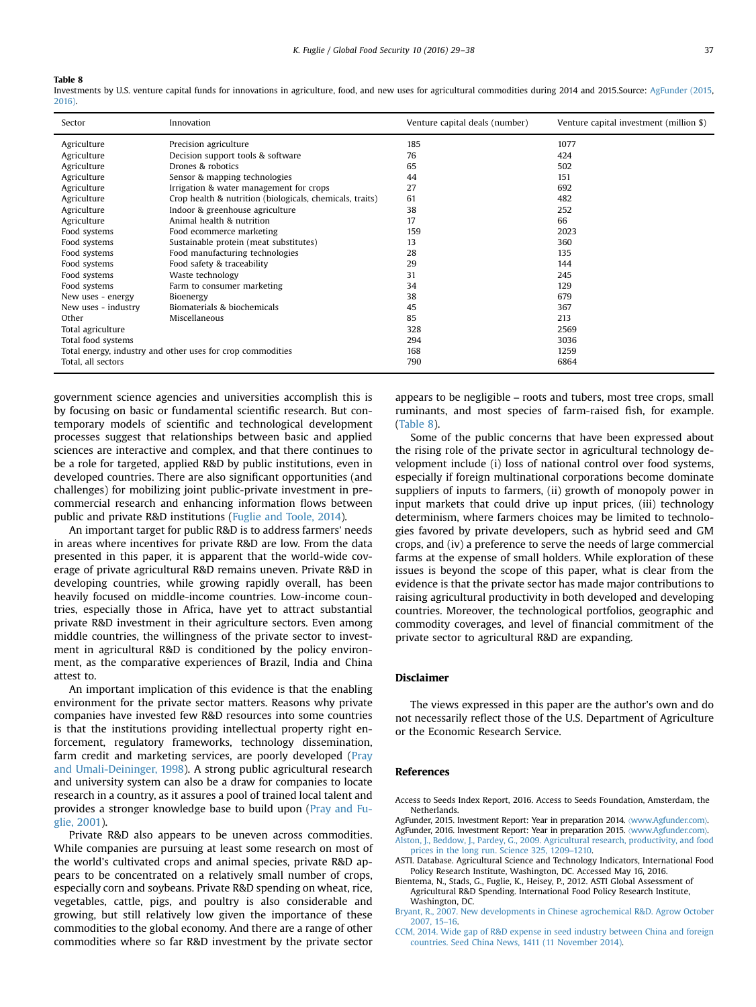<span id="page-8-0"></span>Investments by U.S. venture capital funds for innovations in agriculture, food, and new uses for agricultural commodities during 2014 and 2015.Source: AgFunder (2015, 2016).

| Sector              | Innovation                                                 | Venture capital deals (number) | Venture capital investment (million \$) |
|---------------------|------------------------------------------------------------|--------------------------------|-----------------------------------------|
| Agriculture         | Precision agriculture                                      | 185                            | 1077                                    |
| Agriculture         | Decision support tools & software                          | 76                             | 424                                     |
| Agriculture         | Drones & robotics                                          | 65                             | 502                                     |
| Agriculture         | Sensor & mapping technologies                              | 44                             | 151                                     |
| Agriculture         | Irrigation & water management for crops                    | 27                             | 692                                     |
| Agriculture         | Crop health & nutrition (biologicals, chemicals, traits)   | 61                             | 482                                     |
| Agriculture         | Indoor & greenhouse agriculture                            | 38                             | 252                                     |
| Agriculture         | Animal health & nutrition                                  | 17                             | 66                                      |
| Food systems        | Food ecommerce marketing                                   | 159                            | 2023                                    |
| Food systems        | Sustainable protein (meat substitutes)                     | 13                             | 360                                     |
| Food systems        | Food manufacturing technologies                            | 28                             | 135                                     |
| Food systems        | Food safety & traceability                                 | 29                             | 144                                     |
| Food systems        | Waste technology                                           | 31                             | 245                                     |
| Food systems        | Farm to consumer marketing                                 | 34                             | 129                                     |
| New uses - energy   | Bioenergy                                                  | 38                             | 679                                     |
| New uses - industry | Biomaterials & biochemicals                                | 45                             | 367                                     |
| Other               | Miscellaneous                                              | 85                             | 213                                     |
| Total agriculture   |                                                            | 328                            | 2569                                    |
| Total food systems  |                                                            | 294                            | 3036                                    |
|                     | Total energy, industry and other uses for crop commodities | 168                            | 1259                                    |
| Total, all sectors  |                                                            | 790                            | 6864                                    |

government science agencies and universities accomplish this is by focusing on basic or fundamental scientific research. But contemporary models of scientific and technological development processes suggest that relationships between basic and applied sciences are interactive and complex, and that there continues to be a role for targeted, applied R&D by public institutions, even in developed countries. There are also significant opportunities (and challenges) for mobilizing joint public-private investment in precommercial research and enhancing information flows between public and private R&D institutions [\(Fuglie and Toole, 2014\)](#page-9-0).

An important target for public R&D is to address farmers' needs in areas where incentives for private R&D are low. From the data presented in this paper, it is apparent that the world-wide coverage of private agricultural R&D remains uneven. Private R&D in developing countries, while growing rapidly overall, has been heavily focused on middle-income countries. Low-income countries, especially those in Africa, have yet to attract substantial private R&D investment in their agriculture sectors. Even among middle countries, the willingness of the private sector to investment in agricultural R&D is conditioned by the policy environment, as the comparative experiences of Brazil, India and China attest to.

An important implication of this evidence is that the enabling environment for the private sector matters. Reasons why private companies have invested few R&D resources into some countries is that the institutions providing intellectual property right enforcement, regulatory frameworks, technology dissemination, farm credit and marketing services, are poorly developed [\(Pray](#page-9-0) [and Umali-Deininger, 1998\)](#page-9-0). A strong public agricultural research and university system can also be a draw for companies to locate research in a country, as it assures a pool of trained local talent and provides a stronger knowledge base to build upon [\(Pray and Fu](#page-9-0)[glie, 2001\)](#page-9-0).

Private R&D also appears to be uneven across commodities. While companies are pursuing at least some research on most of the world's cultivated crops and animal species, private R&D appears to be concentrated on a relatively small number of crops, especially corn and soybeans. Private R&D spending on wheat, rice, vegetables, cattle, pigs, and poultry is also considerable and growing, but still relatively low given the importance of these commodities to the global economy. And there are a range of other commodities where so far R&D investment by the private sector

appears to be negligible – roots and tubers, most tree crops, small ruminants, and most species of farm-raised fish, for example. (Table 8).

Some of the public concerns that have been expressed about the rising role of the private sector in agricultural technology development include (i) loss of national control over food systems, especially if foreign multinational corporations become dominate suppliers of inputs to farmers, (ii) growth of monopoly power in input markets that could drive up input prices, (iii) technology determinism, where farmers choices may be limited to technologies favored by private developers, such as hybrid seed and GM crops, and (iv) a preference to serve the needs of large commercial farms at the expense of small holders. While exploration of these issues is beyond the scope of this paper, what is clear from the evidence is that the private sector has made major contributions to raising agricultural productivity in both developed and developing countries. Moreover, the technological portfolios, geographic and commodity coverages, and level of financial commitment of the private sector to agricultural R&D are expanding.

## Disclaimer

The views expressed in this paper are the author's own and do not necessarily reflect those of the U.S. Department of Agriculture or the Economic Research Service.

### References

Access to Seeds Index Report, 2016. Access to Seeds Foundation, Amsterdam, the Netherlands.

AgFunder, 2015. Investment Report: Year in preparation 2014. 〈[www.Agfunder.com](http://www.Agfunder.com)〉. AgFunder, 2016. Investment Report: Year in preparation 2015. 〈[www.Agfunder.com](http://www.Agfunder.com)〉. [Alston, J., Beddow, J., Pardey, G., 2009. Agricultural research, productivity, and food](http://refhub.elsevier.com/S2211-9124(16)30019-0/sbref1) [prices in the long run. Science 325, 1209](http://refhub.elsevier.com/S2211-9124(16)30019-0/sbref1)–1210.

- ASTI. Database. Agricultural Science and Technology Indicators, International Food Policy Research Institute, Washington, DC. Accessed May 16, 2016.
- Bientema, N., Stads, G., Fuglie, K., Heisey, P., 2012. ASTI Global Assessment of Agricultural R&D Spending. International Food Policy Research Institute, Washington, DC.
- [Bryant, R., 2007. New developments in Chinese agrochemical R&D. Agrow October](http://refhub.elsevier.com/S2211-9124(16)30019-0/sbref2) [2007, 15](http://refhub.elsevier.com/S2211-9124(16)30019-0/sbref2)–16.
- [CCM, 2014. Wide gap of R&D expense in seed industry between China and foreign](http://refhub.elsevier.com/S2211-9124(16)30019-0/sbref3) [countries. Seed China News, 1411 \(11 November 2014\).](http://refhub.elsevier.com/S2211-9124(16)30019-0/sbref3)